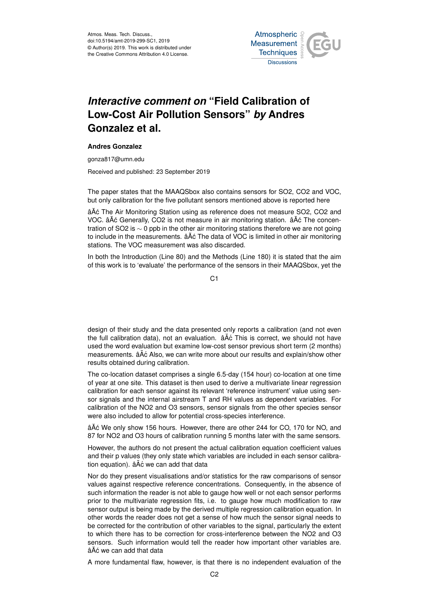Atmos. Meas. Tech. Discuss., doi:10.5194/amt-2019-299-SC1, 2019 © Author(s) 2019. This work is distributed under the Creative Commons Attribution 4.0 License.



## *Interactive comment on* **"Field Calibration of Low-Cost Air Pollution Sensors"** *by* **Andres Gonzalez et al.**

## **Andres Gonzalez**

gonza817@umn.edu

Received and published: 23 September 2019

The paper states that the MAAQSbox also contains sensors for SO2, CO2 and VOC, but only calibration for the five pollutant sensors mentioned above is reported here

âA° The Air Monitoring Station using as reference does not measure SO2, CO2 and VOC. âĂć Generally, CO2 is not measure in air monitoring station. âĂć The concentration of SO2 is ∼ 0 ppb in the other air monitoring stations therefore we are not going to include in the measurements.  $\hat{a}$ Åć The data of VOC is limited in other air monitoring stations. The VOC measurement was also discarded.

In both the Introduction (Line 80) and the Methods (Line 180) it is stated that the aim of this work is to 'evaluate' the performance of the sensors in their MAAQSbox, yet the

C<sub>1</sub>

design of their study and the data presented only reports a calibration (and not even the full calibration data), not an evaluation.  $\hat{a}$  A $\hat{c}$  This is correct, we should not have used the word evaluation but examine low-cost sensor previous short term (2 months) measurements.  $\hat{a}$ Åć Also, we can write more about our results and explain/show other results obtained during calibration.

The co-location dataset comprises a single 6.5-day (154 hour) co-location at one time of year at one site. This dataset is then used to derive a multivariate linear regression calibration for each sensor against its relevant 'reference instrument' value using sensor signals and the internal airstream T and RH values as dependent variables. For calibration of the NO2 and O3 sensors, sensor signals from the other species sensor were also included to allow for potential cross-species interference.

âAč We only show 156 hours. However, there are other 244 for CO, 170 for NO, and 87 for NO2 and O3 hours of calibration running 5 months later with the same sensors.

However, the authors do not present the actual calibration equation coefficient values and their p values (they only state which variables are included in each sensor calibration equation).  $\tilde{a}$ A $\tilde{c}$  we can add that data

Nor do they present visualisations and/or statistics for the raw comparisons of sensor values against respective reference concentrations. Consequently, in the absence of such information the reader is not able to gauge how well or not each sensor performs prior to the multivariate regression fits, i.e. to gauge how much modification to raw sensor output is being made by the derived multiple regression calibration equation. In other words the reader does not get a sense of how much the sensor signal needs to be corrected for the contribution of other variables to the signal, particularly the extent to which there has to be correction for cross-interference between the NO2 and O3 sensors. Such information would tell the reader how important other variables are. âĂć we can add that data

A more fundamental flaw, however, is that there is no independent evaluation of the